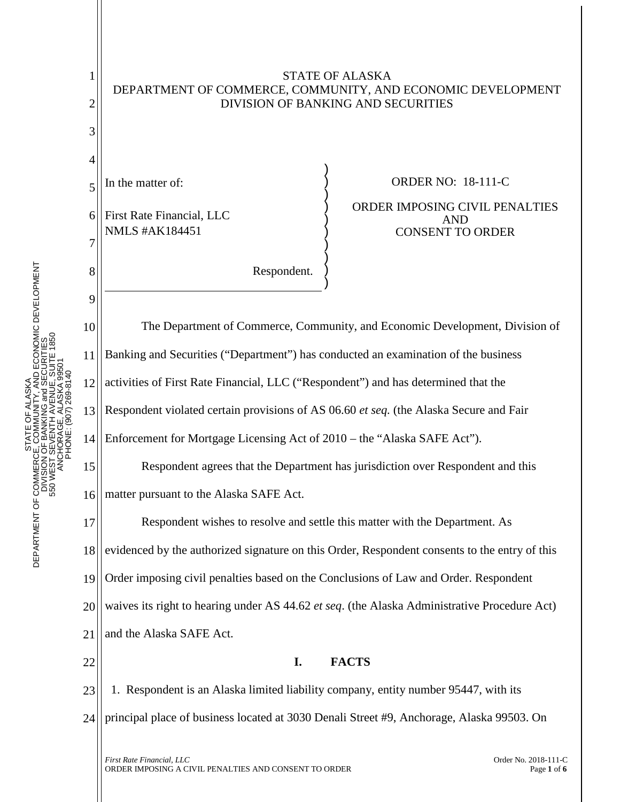

STATE OF ALASKA DEPARTMENT OF COMMERCE, COMMUNITY, AND ECONOMIC DEVELOPMENT DIVISION OF BANKING AND SECURITIES

*First Rate Financial, LLC* Order No. 2018-111-C<br>ORDER IMPOSING A CIVIL PENALTIES AND CONSENT TO ORDER Page 1 of 6 ORDER IMPOSING A CIVIL PENALTIES AND CONSENT TO ORDERPage **<sup>1</sup>** of **<sup>6</sup>**

STATE OF ALASKA DEPARTMENT OF COMMERCE, COMMUNITY, AND ECONOMIC DEVELOPMENT DIVISION OF BANKING and SECURITIES 550 WEST SEVENTH AVENUE, SUITE 1850

STATE<br>CE, COM<br>I OF BANK

DEPARTMENT OF COMMERCI<br>DIVISION<br>550 WEST S

ITY, AND ECONOMIC DEVELOPMENT<br>3 and SECURITIES<br>/ENUE, SUITE 1850

1

2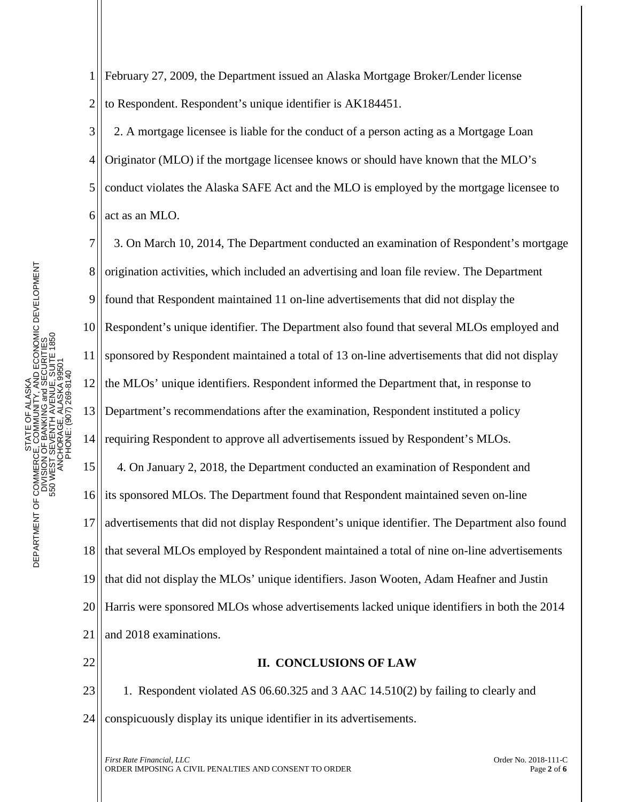1 2 February 27, 2009, the Department issued an Alaska Mortgage Broker/Lender license to Respondent. Respondent's unique identifier is AK184451.

3 4 5 6 2. A mortgage licensee is liable for the conduct of a person acting as a Mortgage Loan Originator (MLO) if the mortgage licensee knows or should have known that the MLO's conduct violates the Alaska SAFE Act and the MLO is employed by the mortgage licensee to act as an MLO.

7 8 9 10 11 12 13 14 15 16 17 18 19 20 21 3. On March 10, 2014, The Department conducted an examination of Respondent's mortgage origination activities, which included an advertising and loan file review. The Department found that Respondent maintained 11 on-line advertisements that did not display the Respondent's unique identifier. The Department also found that several MLOs employed and sponsored by Respondent maintained a total of 13 on-line advertisements that did not display the MLOs' unique identifiers. Respondent informed the Department that, in response to Department's recommendations after the examination, Respondent instituted a policy requiring Respondent to approve all advertisements issued by Respondent's MLOs. 4. On January 2, 2018, the Department conducted an examination of Respondent and its sponsored MLOs. The Department found that Respondent maintained seven on-line advertisements that did not display Respondent's unique identifier. The Department also found that several MLOs employed by Respondent maintained a total of nine on-line advertisements that did not display the MLOs' unique identifiers. Jason Wooten, Adam Heafner and Justin Harris were sponsored MLOs whose advertisements lacked unique identifiers in both the 2014 and 2018 examinations.

22

## **II. CONCLUSIONS OF LAW**

23 24 1. Respondent violated AS 06.60.325 and 3 AAC 14.510(2) by failing to clearly and conspicuously display its unique identifier in its advertisements.

*First Rate Financial, LLC* Order No. 2018-111-C ORDER IMPOSING A CIVIL PENALTIES AND CONSENT TO ORDERPage **<sup>2</sup>** of **<sup>6</sup>**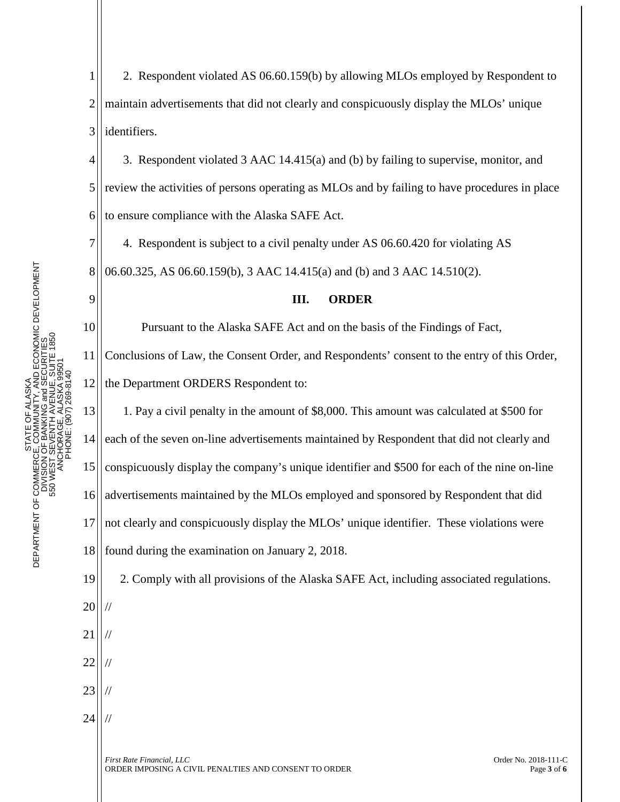1 2 3 2. Respondent violated AS 06.60.159(b) by allowing MLOs employed by Respondent to maintain advertisements that did not clearly and conspicuously display the MLOs' unique identifiers.

4 5 6 3. Respondent violated 3 AAC 14.415(a) and (b) by failing to supervise, monitor, and review the activities of persons operating as MLOs and by failing to have procedures in place to ensure compliance with the Alaska SAFE Act.

7 8 4. Respondent is subject to a civil penalty under AS 06.60.420 for violating AS 06.60.325, AS 06.60.159(b), 3 AAC 14.415(a) and (b) and 3 AAC 14.510(2).

## **III. ORDER**

Pursuant to the Alaska SAFE Act and on the basis of the Findings of Fact,

11 12 Conclusions of Law, the Consent Order, and Respondents' consent to the entry of this Order, the Department ORDERS Respondent to:

13 14 15 16 17 1. Pay a civil penalty in the amount of \$8,000. This amount was calculated at \$500 for each of the seven on-line advertisements maintained by Respondent that did not clearly and conspicuously display the company's unique identifier and \$500 for each of the nine on-line advertisements maintained by the MLOs employed and sponsored by Respondent that did not clearly and conspicuously display the MLOs' unique identifier. These violations were

18 found during the examination on January 2, 2018.

2. Comply with all provisions of the Alaska SAFE Act, including associated regulations.

20 //

19

9

10

- 21 22 // //
- 23 //

//

24

*First Rate Financial, LLC* Order No. 2018-111-C ORDER IMPOSING A CIVIL PENALTIES AND CONSENT TO ORDERPage **<sup>3</sup>** of **<sup>6</sup>**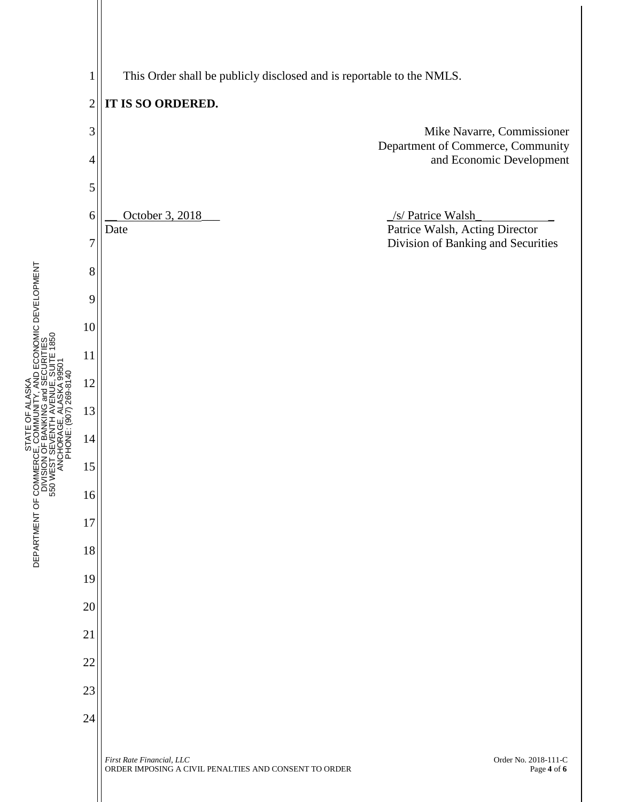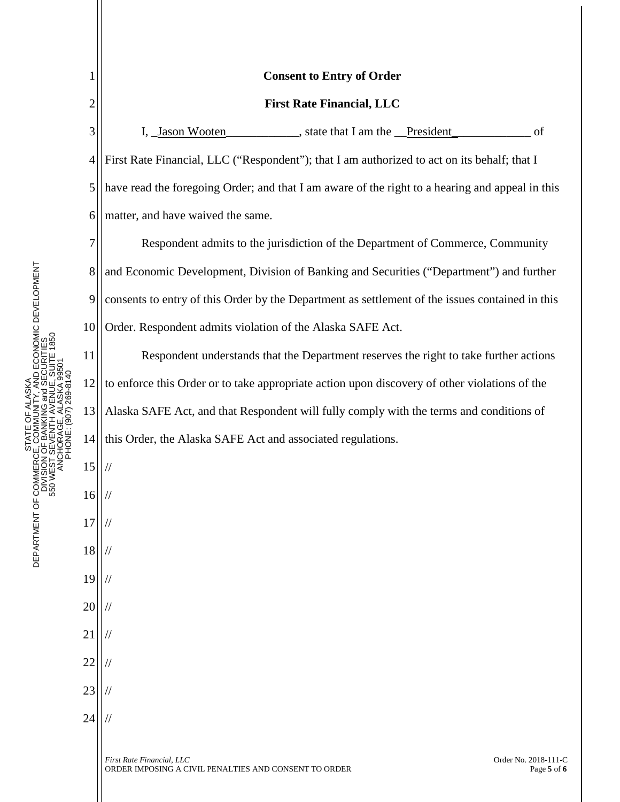| 1              | <b>Consent to Entry of Order</b>                                                                                          |
|----------------|---------------------------------------------------------------------------------------------------------------------------|
| $\overline{c}$ | <b>First Rate Financial, LLC</b>                                                                                          |
| 3              | I, <u>Jason Wooten</u> , state that I am the <u>President</u><br>of                                                       |
| 4              | First Rate Financial, LLC ("Respondent"); that I am authorized to act on its behalf; that I                               |
| 5              | have read the foregoing Order; and that I am aware of the right to a hearing and appeal in this                           |
| 6              | matter, and have waived the same.                                                                                         |
| 7              | Respondent admits to the jurisdiction of the Department of Commerce, Community                                            |
| 8              | and Economic Development, Division of Banking and Securities ("Department") and further                                   |
| 9              | consents to entry of this Order by the Department as settlement of the issues contained in this                           |
| 10             | Order. Respondent admits violation of the Alaska SAFE Act.                                                                |
| 11             | Respondent understands that the Department reserves the right to take further actions                                     |
| 12             | to enforce this Order or to take appropriate action upon discovery of other violations of the                             |
| 13             | Alaska SAFE Act, and that Respondent will fully comply with the terms and conditions of                                   |
| 14             | this Order, the Alaska SAFE Act and associated regulations.                                                               |
| 15             |                                                                                                                           |
| 16             |                                                                                                                           |
| 17             |                                                                                                                           |
| 18             |                                                                                                                           |
| 19             |                                                                                                                           |
| 20             |                                                                                                                           |
| 21             |                                                                                                                           |
| 22             |                                                                                                                           |
| 23             |                                                                                                                           |
| 24             |                                                                                                                           |
|                | First Rate Financial, LLC<br>Order No. 2018-111-C<br>ORDER IMPOSING A CIVIL PENALTIES AND CONSENT TO ORDER<br>Page 5 of 6 |

STATE OF ALASKA<br>DEPARTMENT OF COMMERCE, COMMUNITY, AND ECONOMIC DEVELOPMENT<br>DIVISION OF BANKING and SECURITIES<br>550 WEST SEVENTH AVENUE, SUITE 1850<br>ANCHORAGE, ALASKA 99501 DEPARTMENT OF COMMERCE, COMMUNITY, AND ECONOMIC DEVELOPMENT 550 WEST SEVENTH AVENUE, SUITE 1850 DIVISION OF BANKING and SECURITIES ANCHORAGE, ALASKA 99501 PHONE: (907) 269-8140 STATE OF ALASKA